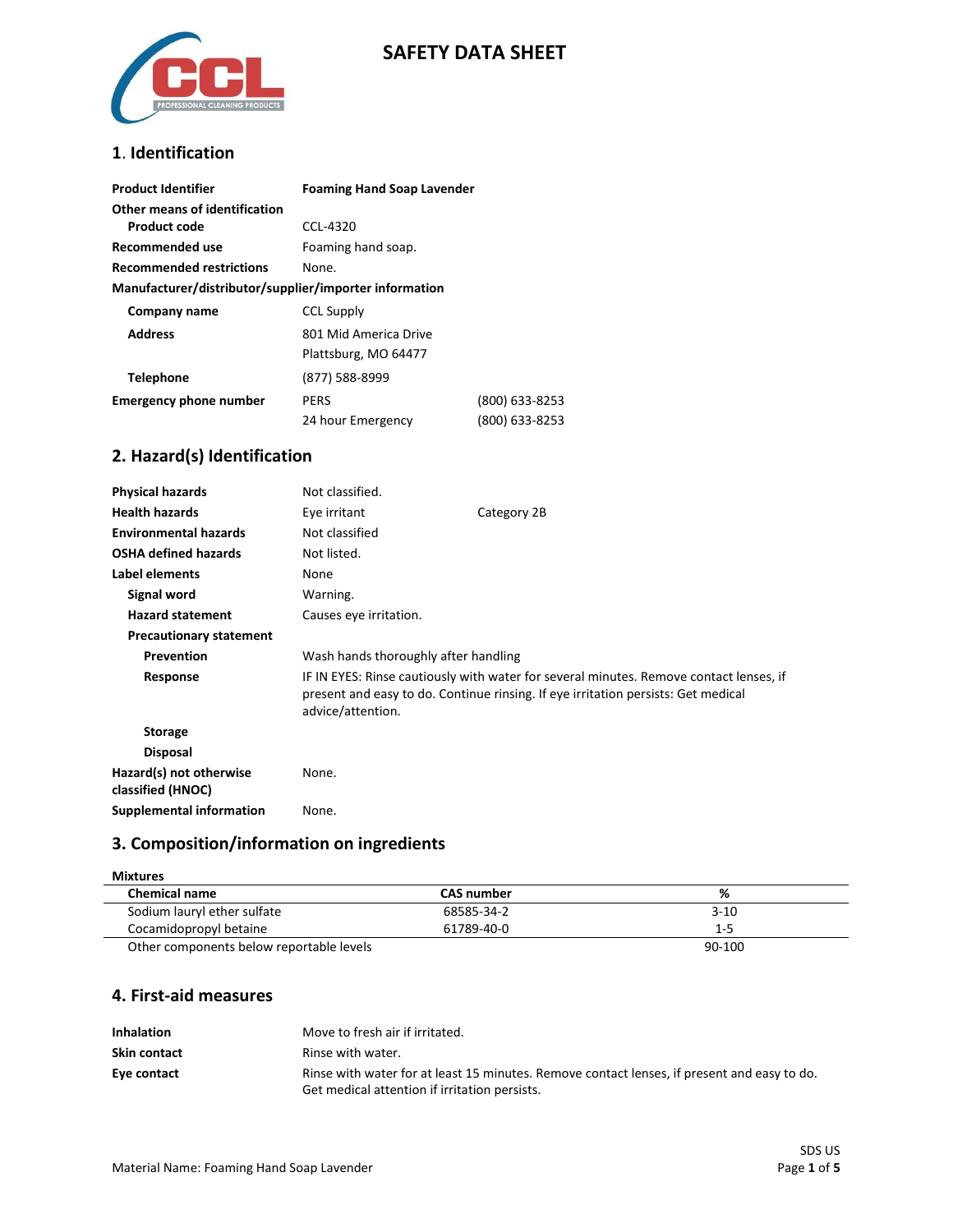

# **SAFETY DATA SHEET**

### **1**. **Identification**

| <b>Product Identifier</b>                              | <b>Foaming Hand Soap Lavender</b> |                |
|--------------------------------------------------------|-----------------------------------|----------------|
| Other means of identification<br>Product code          | CCL-4320                          |                |
| Recommended use                                        | Foaming hand soap.                |                |
| <b>Recommended restrictions</b>                        | None.                             |                |
| Manufacturer/distributor/supplier/importer information |                                   |                |
| Company name                                           | <b>CCL Supply</b>                 |                |
| <b>Address</b>                                         | 801 Mid America Drive             |                |
|                                                        | Plattsburg, MO 64477              |                |
| <b>Telephone</b>                                       | (877) 588-8999                    |                |
| <b>Emergency phone number</b>                          | PERS                              | (800) 633-8253 |
|                                                        | 24 hour Emergency                 | (800) 633-8253 |

# **2. Hazard(s) Identification**

| <b>Physical hazards</b>                      | Not classified.                                                                                                                                                                                  |             |
|----------------------------------------------|--------------------------------------------------------------------------------------------------------------------------------------------------------------------------------------------------|-------------|
| <b>Health hazards</b>                        | Eye irritant                                                                                                                                                                                     | Category 2B |
| <b>Environmental hazards</b>                 | Not classified                                                                                                                                                                                   |             |
| <b>OSHA defined hazards</b>                  | Not listed.                                                                                                                                                                                      |             |
| Label elements                               | None                                                                                                                                                                                             |             |
| Signal word                                  | Warning.                                                                                                                                                                                         |             |
| <b>Hazard statement</b>                      | Causes eye irritation.                                                                                                                                                                           |             |
| <b>Precautionary statement</b>               |                                                                                                                                                                                                  |             |
| Prevention                                   | Wash hands thoroughly after handling                                                                                                                                                             |             |
| Response                                     | IF IN EYES: Rinse cautiously with water for several minutes. Remove contact lenses, if<br>present and easy to do. Continue rinsing. If eye irritation persists: Get medical<br>advice/attention. |             |
| <b>Storage</b>                               |                                                                                                                                                                                                  |             |
| <b>Disposal</b>                              |                                                                                                                                                                                                  |             |
| Hazard(s) not otherwise<br>classified (HNOC) | None.                                                                                                                                                                                            |             |
| Supplemental information                     | None.                                                                                                                                                                                            |             |

# **3. Composition/information on ingredients**

| <b>Mixtures</b>                          |                   |          |
|------------------------------------------|-------------------|----------|
| <b>Chemical name</b>                     | <b>CAS number</b> | %        |
| Sodium lauryl ether sulfate              | 68585-34-2        | $3 - 10$ |
| Cocamidopropyl betaine                   | 61789-40-0        | $1 - 5$  |
| Other components below reportable levels |                   | 90-100   |

# **4. First-aid measures**

| <b>Inhalation</b> | Move to fresh air if irritated.                                                             |
|-------------------|---------------------------------------------------------------------------------------------|
| Skin contact      | Rinse with water.                                                                           |
| Eye contact       | Rinse with water for at least 15 minutes. Remove contact lenses, if present and easy to do. |
|                   | Get medical attention if irritation persists.                                               |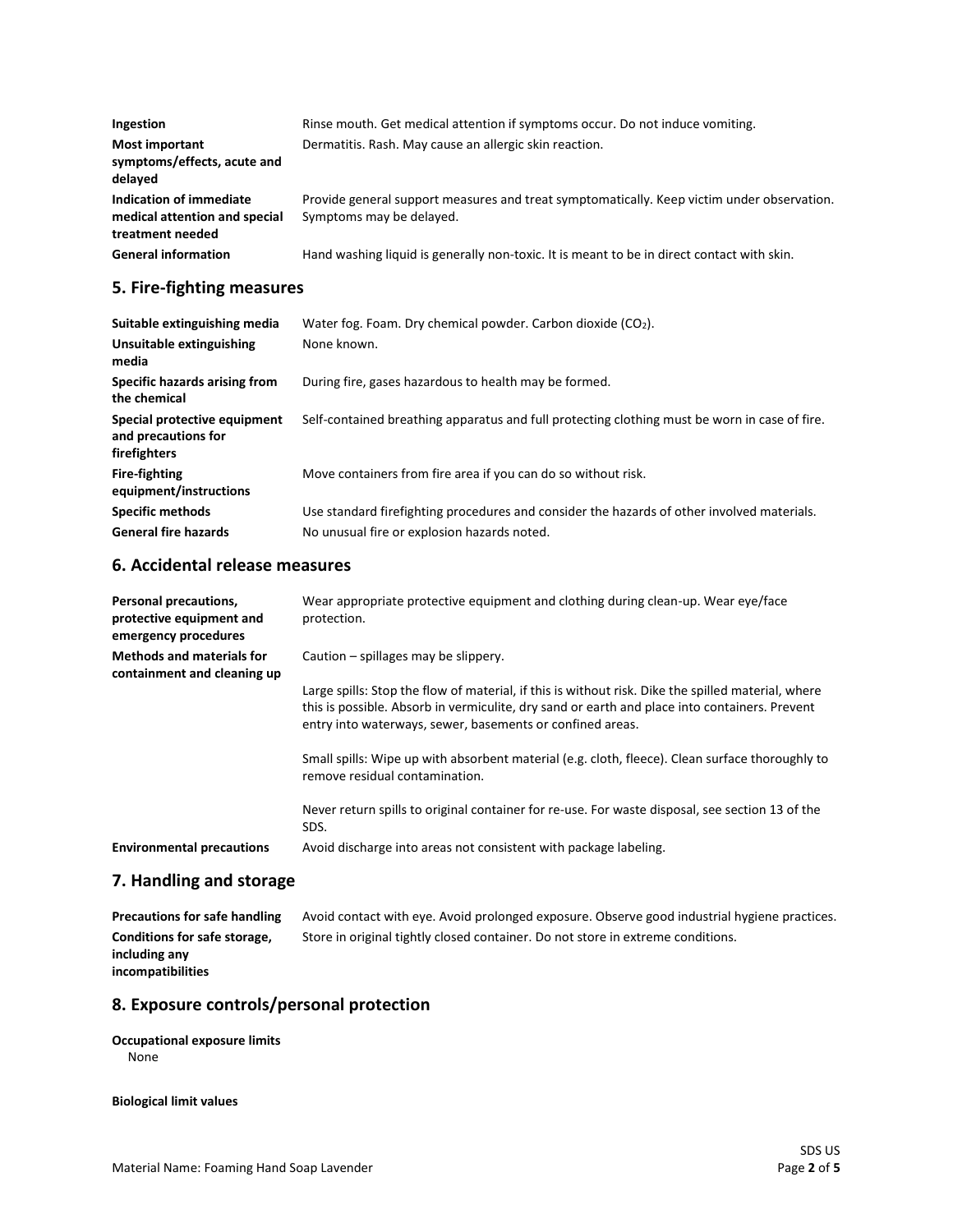| Ingestion                                                                    | Rinse mouth. Get medical attention if symptoms occur. Do not induce vomiting.                                          |
|------------------------------------------------------------------------------|------------------------------------------------------------------------------------------------------------------------|
| <b>Most important</b><br>symptoms/effects, acute and<br>delayed              | Dermatitis. Rash. May cause an allergic skin reaction.                                                                 |
| Indication of immediate<br>medical attention and special<br>treatment needed | Provide general support measures and treat symptomatically. Keep victim under observation.<br>Symptoms may be delayed. |
| <b>General information</b>                                                   | Hand washing liquid is generally non-toxic. It is meant to be in direct contact with skin.                             |

# **5. Fire-fighting measures**

| Suitable extinguishing media                                        | Water fog. Foam. Dry chemical powder. Carbon dioxide $(CO2)$ .                                |
|---------------------------------------------------------------------|-----------------------------------------------------------------------------------------------|
| Unsuitable extinguishing<br>media                                   | None known.                                                                                   |
| Specific hazards arising from<br>the chemical                       | During fire, gases hazardous to health may be formed.                                         |
| Special protective equipment<br>and precautions for<br>firefighters | Self-contained breathing apparatus and full protecting clothing must be worn in case of fire. |
| <b>Fire-fighting</b><br>equipment/instructions                      | Move containers from fire area if you can do so without risk.                                 |
| <b>Specific methods</b>                                             | Use standard firefighting procedures and consider the hazards of other involved materials.    |
| <b>General fire hazards</b>                                         | No unusual fire or explosion hazards noted.                                                   |

# **6. Accidental release measures**

| Personal precautions,<br>protective equipment and<br>emergency procedures | Wear appropriate protective equipment and clothing during clean-up. Wear eye/face<br>protection.                                                                                                                                                                 |
|---------------------------------------------------------------------------|------------------------------------------------------------------------------------------------------------------------------------------------------------------------------------------------------------------------------------------------------------------|
| <b>Methods and materials for</b><br>containment and cleaning up           | Caution – spillages may be slippery.                                                                                                                                                                                                                             |
|                                                                           | Large spills: Stop the flow of material, if this is without risk. Dike the spilled material, where<br>this is possible. Absorb in vermiculite, dry sand or earth and place into containers. Prevent<br>entry into waterways, sewer, basements or confined areas. |
|                                                                           | Small spills: Wipe up with absorbent material (e.g. cloth, fleece). Clean surface thoroughly to<br>remove residual contamination.                                                                                                                                |
|                                                                           | Never return spills to original container for re-use. For waste disposal, see section 13 of the<br>SDS.                                                                                                                                                          |
| <b>Environmental precautions</b>                                          | Avoid discharge into areas not consistent with package labeling.                                                                                                                                                                                                 |

## **7. Handling and storage**

| Precautions for safe handling | Avoid contact with eye. Avoid prolonged exposure. Observe good industrial hygiene practices. |
|-------------------------------|----------------------------------------------------------------------------------------------|
| Conditions for safe storage,  | Store in original tightly closed container. Do not store in extreme conditions.              |
| including any                 |                                                                                              |
| incompatibilities             |                                                                                              |

# **8. Exposure controls/personal protection**

#### **Occupational exposure limits** None

**Biological limit values**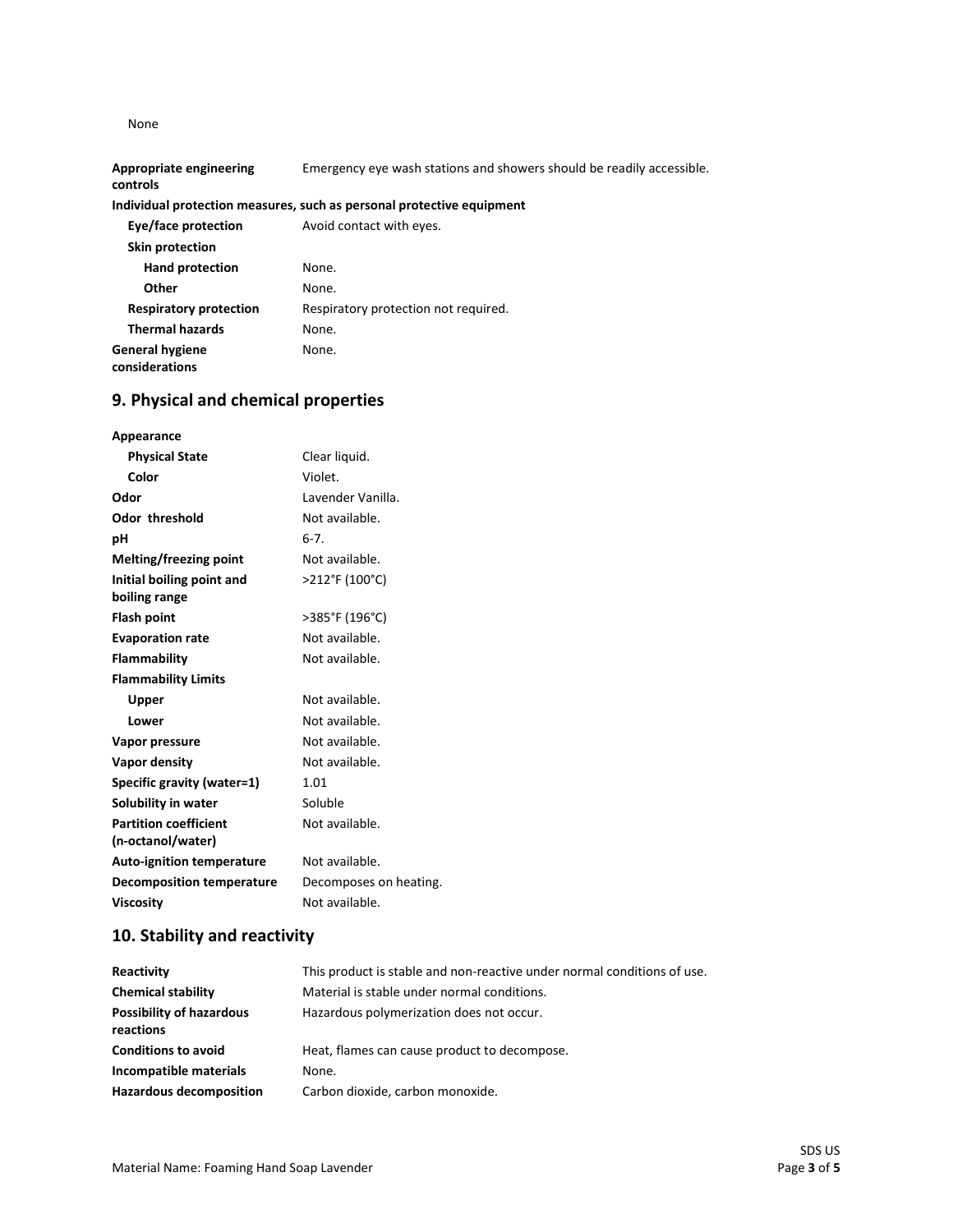None

**General hygiene considerations**

| <b>Appropriate engineering</b><br>controls | Emergency eye wash stations and showers should be readily accessible. |
|--------------------------------------------|-----------------------------------------------------------------------|
|                                            | Individual protection measures, such as personal protective equipment |
| Eye/face protection                        | Avoid contact with eyes.                                              |
| Skin protection                            |                                                                       |
| <b>Hand protection</b>                     | None.                                                                 |
| Other                                      | None.                                                                 |
| <b>Respiratory protection</b>              | Respiratory protection not required.                                  |
| <b>Thermal hazards</b>                     | None.                                                                 |

# **9. Physical and chemical properties**

None.

| Appearance                       |                        |
|----------------------------------|------------------------|
| <b>Physical State</b>            | Clear liquid.          |
| Color                            | Violet.                |
| Odor                             | Lavender Vanilla.      |
| <b>Odor threshold</b>            | Not available.         |
| рH                               | $6 - 7$ .              |
| Melting/freezing point           | Not available.         |
| Initial boiling point and        | >212°F (100°C)         |
| boiling range                    |                        |
| Flash point                      | >385°F (196°C)         |
| <b>Evaporation rate</b>          | Not available.         |
| Flammability                     | Not available.         |
| <b>Flammability Limits</b>       |                        |
| Upper                            | Not available.         |
| Lower                            | Not available.         |
| Vapor pressure                   | Not available.         |
| Vapor density                    | Not available.         |
| Specific gravity (water=1)       | 1.01                   |
| Solubility in water              | Soluble                |
| <b>Partition coefficient</b>     | Not available.         |
| (n-octanol/water)                |                        |
| <b>Auto-ignition temperature</b> | Not available.         |
| <b>Decomposition temperature</b> | Decomposes on heating. |
| <b>Viscosity</b>                 | Not available.         |

# **10. Stability and reactivity**

| Reactivity                                   | This product is stable and non-reactive under normal conditions of use. |
|----------------------------------------------|-------------------------------------------------------------------------|
| <b>Chemical stability</b>                    | Material is stable under normal conditions.                             |
| <b>Possibility of hazardous</b><br>reactions | Hazardous polymerization does not occur.                                |
| <b>Conditions to avoid</b>                   | Heat, flames can cause product to decompose.                            |
| Incompatible materials                       | None.                                                                   |
| <b>Hazardous decomposition</b>               | Carbon dioxide, carbon monoxide.                                        |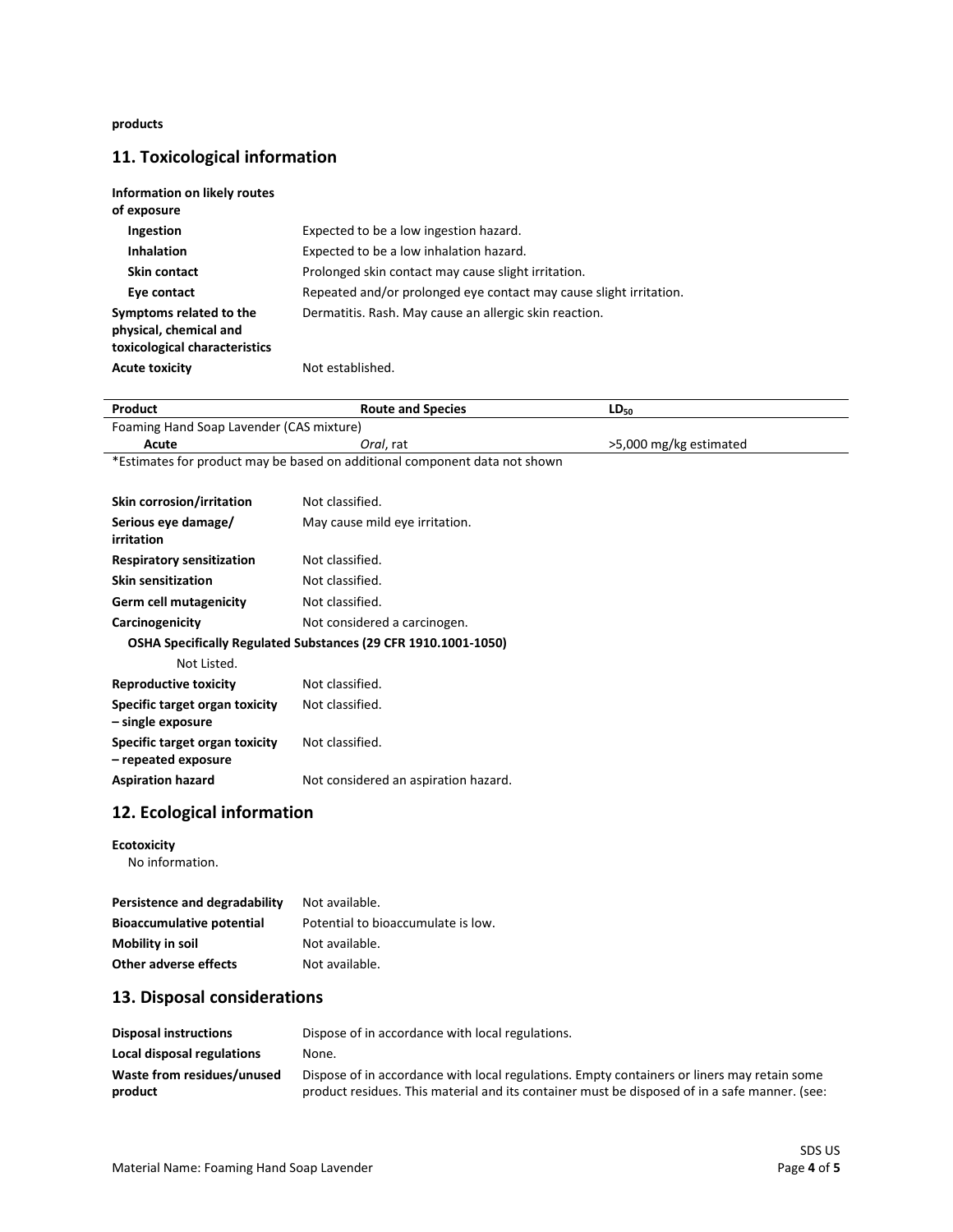**products**

# **11. Toxicological information**

| Information on likely routes<br>of exposure                                        |                                                                    |
|------------------------------------------------------------------------------------|--------------------------------------------------------------------|
| <b>Ingestion</b>                                                                   | Expected to be a low ingestion hazard.                             |
| <b>Inhalation</b>                                                                  | Expected to be a low inhalation hazard.                            |
| Skin contact                                                                       | Prolonged skin contact may cause slight irritation.                |
| Eye contact                                                                        | Repeated and/or prolonged eye contact may cause slight irritation. |
| Symptoms related to the<br>physical, chemical and<br>toxicological characteristics | Dermatitis. Rash. May cause an allergic skin reaction.             |
| <b>Acute toxicity</b>                                                              | Not established.                                                   |

| Product                                                                    | <b>Route and Species</b>                                                                    | $LD_{50}$              |
|----------------------------------------------------------------------------|---------------------------------------------------------------------------------------------|------------------------|
| Foaming Hand Soap Lavender (CAS mixture)                                   |                                                                                             |                        |
| Acute                                                                      | Oral, rat                                                                                   | >5,000 mg/kg estimated |
| *Estimates for product may be based on additional component data not shown |                                                                                             |                        |
|                                                                            |                                                                                             |                        |
| Skin corrosion/irritation                                                  | Not classified.                                                                             |                        |
| Serious eye damage/<br>irritation                                          | May cause mild eye irritation.                                                              |                        |
| <b>Respiratory sensitization</b>                                           | Not classified.                                                                             |                        |
| <b>Skin sensitization</b>                                                  | Not classified.                                                                             |                        |
| <b>Germ cell mutagenicity</b>                                              | Not classified.                                                                             |                        |
| Carcinogenicity                                                            | Not considered a carcinogen.                                                                |                        |
| OSHA Specifically Regulated Substances (29 CFR 1910.1001-1050)             |                                                                                             |                        |
| Not Listed.                                                                |                                                                                             |                        |
| <b>Reproductive toxicity</b>                                               | Not classified.                                                                             |                        |
| Specific target organ toxicity<br>- single exposure                        | Not classified.                                                                             |                        |
| Specific target organ toxicity<br>- repeated exposure                      | Not classified.                                                                             |                        |
| <b>Aspiration hazard</b>                                                   | Not considered an aspiration hazard.                                                        |                        |
| 12. Ecological information                                                 |                                                                                             |                        |
| <b>Ecotoxicity</b><br>No information.                                      |                                                                                             |                        |
|                                                                            |                                                                                             |                        |
| Persistence and degradability                                              | Not available.                                                                              |                        |
| <b>Bioaccumulative potential</b>                                           | Potential to bioaccumulate is low.                                                          |                        |
| Mobility in soil                                                           | Not available.                                                                              |                        |
| Other adverse effects                                                      | Not available.                                                                              |                        |
| 13. Disposal considerations                                                |                                                                                             |                        |
| <b>Disposal instructions</b>                                               | Dispose of in accordance with local regulations.                                            |                        |
| Local disposal regulations                                                 | None.                                                                                       |                        |
| Waste from residues/unused                                                 | Dispose of in accordance with local regulations. Empty containers or liners may retain some |                        |

product residues. This material and its container must be disposed of in a safe manner. (see:

**product**